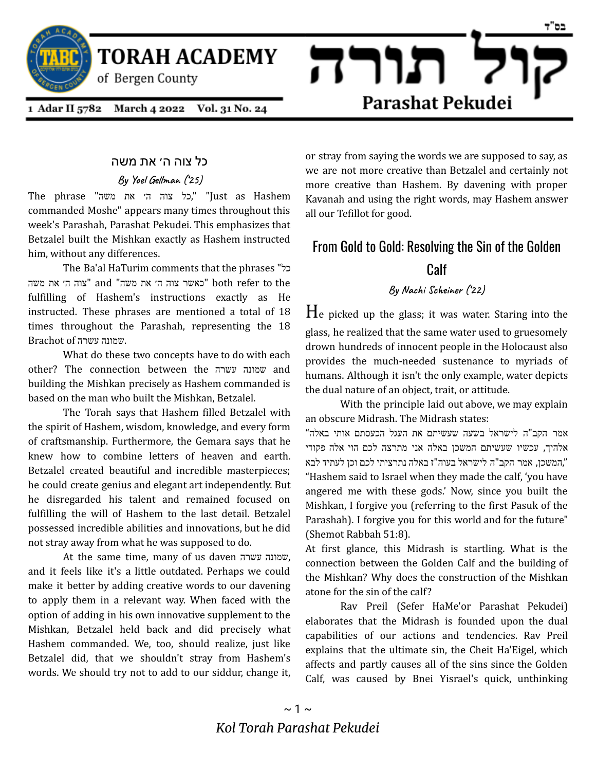

**TORAH ACADEMY** 

of Bergen County

1 Adar II 5782 March 4 2022 Vol. 31 No. 24

### כל צוה ה׳ את משה

**By Yoel Gellman ('25)**

Hashem as Just" ",כל צוה ה׳ את משה" phrase The commanded Moshe" appears many times throughout this week's Parashah, Parashat Pekudei. This emphasizes that Betzalel built the Mishkan exactly as Hashem instructed him, without any differences.

The Ba'al HaTurim comments that the phrases "כל the to refer both" כאשר צוה ה׳ את משה" and" צוה ה׳ את משה fulfilling of Hashem's instructions exactly as He instructed. These phrases are mentioned a total of 18 times throughout the Parashah, representing the 18 Brachot  $of$ עמונה עשרה  $w$ .

What do these two concepts have to do with each other? The connection between the עשרה שמונה and building the Mishkan precisely as Hashem commanded is based on the man who built the Mishkan, Betzalel.

The Torah says that Hashem filled Betzalel with the spirit of Hashem, wisdom, knowledge, and every form of craftsmanship. Furthermore, the Gemara says that he knew how to combine letters of heaven and earth. Betzalel created beautiful and incredible masterpieces; he could create genius and elegant art independently. But he disregarded his talent and remained focused on fulfilling the will of Hashem to the last detail. Betzalel possessed incredible abilities and innovations, but he did not stray away from what he was supposed to do.

At the same time, many of us daven עשרה שמונה, and it feels like it's a little outdated. Perhaps we could make it better by adding creative words to our davening to apply them in a relevant way. When faced with the option of adding in his own innovative supplement to the Mishkan, Betzalel held back and did precisely what Hashem commanded. We, too, should realize, just like Betzalel did, that we shouldn't stray from Hashem's words. We should try not to add to our siddur, change it,

or stray from saying the words we are supposed to say, as we are not more creative than Betzalel and certainly not more creative than Hashem. By davening with proper Kavanah and using the right words, may Hashem answer all our Tefillot for good.

Parashat Pekudei

תורה

# From Gold to Gold: Resolving the Sin of the Golden

## **Calf**

**By Nachi Scheiner ('22)**

 $H_e$  picked up the glass; it was water. Staring into the glass, he realized that the same water used to gruesomely drown hundreds of innocent people in the Holocaust also provides the much-needed sustenance to myriads of humans. Although it isn't the only example, water depicts the dual nature of an object, trait, or attitude.

With the principle laid out above, we may explain an obscure Midrash. The Midrash states:

אמר הקב"ה לישראל בשעה שעשיתם את העגל הכעסתם אותי באלה" אלהיך, עכשיו שעשיתם המשכן באלה אני מתרצה לכם הוי אלה פקודי ",המשכן, אמר הקב"ה לישראל בעוה"ז באלה נתרציתי לכם וכן לעתיד לבא "Hashem said to Israel when they made the calf, 'you have angered me with these gods.' Now, since you built the Mishkan, I forgive you (referring to the first Pasuk of the Parashah). I forgive you for this world and for the future" (Shemot Rabbah 51:8).

At first glance, this Midrash is startling. What is the connection between the Golden Calf and the building of the Mishkan? Why does the construction of the Mishkan atone for the sin of the calf?

Rav Preil (Sefer HaMe'or Parashat Pekudei) elaborates that the Midrash is founded upon the dual capabilities of our actions and tendencies. Rav Preil explains that the ultimate sin, the Cheit Ha'Eigel, which affects and partly causes all of the sins since the Golden Calf, was caused by Bnei Yisrael's quick, unthinking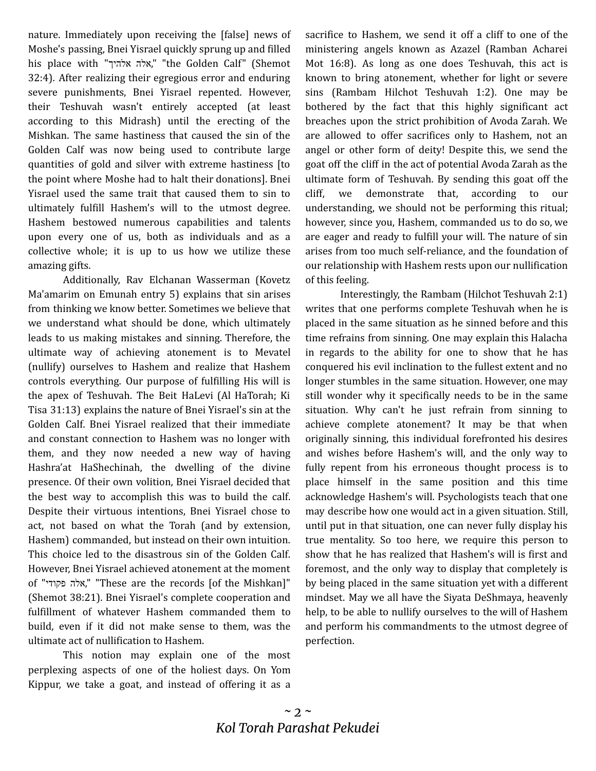nature. Immediately upon receiving the [false] news of Moshe's passing, Bnei Yisrael quickly sprung up and filled his place with "אלהיך אלה," "the Golden Calf" (Shemot 32:4). After realizing their egregious error and enduring severe punishments, Bnei Yisrael repented. However, their Teshuvah wasn't entirely accepted (at least according to this Midrash) until the erecting of the Mishkan. The same hastiness that caused the sin of the Golden Calf was now being used to contribute large quantities of gold and silver with extreme hastiness [to the point where Moshe had to halt their donations]. Bnei Yisrael used the same trait that caused them to sin to ultimately fulfill Hashem's will to the utmost degree. Hashem bestowed numerous capabilities and talents upon every one of us, both as individuals and as a collective whole; it is up to us how we utilize these amazing gifts.

Additionally, Rav Elchanan Wasserman (Kovetz Ma'amarim on Emunah entry 5) explains that sin arises from thinking we know better. Sometimes we believe that we understand what should be done, which ultimately leads to us making mistakes and sinning. Therefore, the ultimate way of achieving atonement is to Mevatel (nullify) ourselves to Hashem and realize that Hashem controls everything. Our purpose of fulfilling His will is the apex of Teshuvah. The Beit HaLevi (Al HaTorah; Ki Tisa 31:13) explains the nature of Bnei Yisrael's sin at the Golden Calf. Bnei Yisrael realized that their immediate and constant connection to Hashem was no longer with them, and they now needed a new way of having Hashra'at HaShechinah, the dwelling of the divine presence. Of their own volition, Bnei Yisrael decided that the best way to accomplish this was to build the calf. Despite their virtuous intentions, Bnei Yisrael chose to act, not based on what the Torah (and by extension, Hashem) commanded, but instead on their own intuition. This choice led to the disastrous sin of the Golden Calf. However, Bnei Yisrael achieved atonement at the moment of "פקודי אלה," "These are the records [of the Mishkan]" (Shemot 38:21). Bnei Yisrael's complete cooperation and fulfillment of whatever Hashem commanded them to build, even if it did not make sense to them, was the ultimate act of nullification to Hashem.

This notion may explain one of the most perplexing aspects of one of the holiest days. On Yom Kippur, we take a goat, and instead of offering it as a sacrifice to Hashem, we send it off a cliff to one of the ministering angels known as Azazel (Ramban Acharei Mot 16:8). As long as one does Teshuvah, this act is known to bring atonement, whether for light or severe sins (Rambam Hilchot Teshuvah 1:2). One may be bothered by the fact that this highly significant act breaches upon the strict prohibition of Avoda Zarah. We are allowed to offer sacrifices only to Hashem, not an angel or other form of deity! Despite this, we send the goat off the cliff in the act of potential Avoda Zarah as the ultimate form of Teshuvah. By sending this goat off the cliff, we demonstrate that, according to our understanding, we should not be performing this ritual; however, since you, Hashem, commanded us to do so, we are eager and ready to fulfill your will. The nature of sin arises from too much self-reliance, and the foundation of our relationship with Hashem rests upon our nullification of this feeling.

Interestingly, the Rambam (Hilchot Teshuvah 2:1) writes that one performs complete Teshuvah when he is placed in the same situation as he sinned before and this time refrains from sinning. One may explain this Halacha in regards to the ability for one to show that he has conquered his evil inclination to the fullest extent and no longer stumbles in the same situation. However, one may still wonder why it specifically needs to be in the same situation. Why can't he just refrain from sinning to achieve complete atonement? It may be that when originally sinning, this individual forefronted his desires and wishes before Hashem's will, and the only way to fully repent from his erroneous thought process is to place himself in the same position and this time acknowledge Hashem's will. Psychologists teach that one may describe how one would act in a given situation. Still, until put in that situation, one can never fully display his true mentality. So too here, we require this person to show that he has realized that Hashem's will is first and foremost, and the only way to display that completely is by being placed in the same situation yet with a different mindset. May we all have the Siyata DeShmaya, heavenly help, to be able to nullify ourselves to the will of Hashem and perform his commandments to the utmost degree of perfection.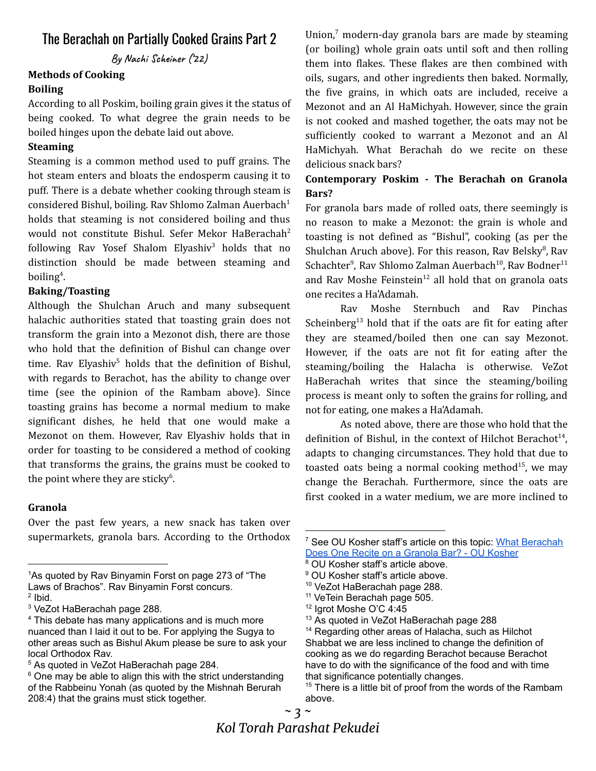# The Berachah on Partially Cooked Grains Part 2

**By Nachi Scheiner ('22)**

### **Methods of Cooking Boiling**

According to all Poskim, boiling grain gives it the status of being cooked. To what degree the grain needs to be boiled hinges upon the debate laid out above.

### **Steaming**

Steaming is a common method used to puff grains. The hot steam enters and bloats the endosperm causing it to puff. There is a debate whether cooking through steam is considered Bishul, boiling. Rav Shlomo Zalman Auerbach 1 holds that steaming is not considered boiling and thus would not constitute Bishul. Sefer Mekor HaBerachah 2 following Rav Yosef Shalom Elyashiv<sup>3</sup> holds that no distinction should be made between steaming and boiling 4 .

### **Baking/Toasting**

Although the Shulchan Aruch and many subsequent halachic authorities stated that toasting grain does not transform the grain into a Mezonot dish, there are those who hold that the definition of Bishul can change over time. Rav Elyashiv <sup>5</sup> holds that the definition of Bishul, with regards to Berachot, has the ability to change over time (see the opinion of the Rambam above). Since toasting grains has become a normal medium to make significant dishes, he held that one would make a Mezonot on them. However, Rav Elyashiv holds that in order for toasting to be considered a method of cooking that transforms the grains, the grains must be cooked to the point where they are sticky<sup>6</sup>.

### **Granola**

Over the past few years, a new snack has taken over supermarkets, granola bars. According to the Orthodox

<sup>1</sup>As quoted by Ray Binyamin Forst on page 273 of "The Laws of Brachos". Rav Binyamin Forst concurs.

Union, <sup>7</sup> modern-day granola bars are made by steaming (or boiling) whole grain oats until soft and then rolling them into flakes. These flakes are then combined with oils, sugars, and other ingredients then baked. Normally, the five grains, in which oats are included, receive a Mezonot and an Al HaMichyah. However, since the grain is not cooked and mashed together, the oats may not be sufficiently cooked to warrant a Mezonot and an Al HaMichyah. What Berachah do we recite on these delicious snack bars?

## **Contemporary Poskim - The Berachah on Granola Bars?**

For granola bars made of rolled oats, there seemingly is no reason to make a Mezonot: the grain is whole and toasting is not defined as "Bishul", cooking (as per the Shulchan Aruch above). For this reason, Rav Belsky<sup>8</sup>, Rav Schachter<sup>9</sup>, Rav Shlomo Zalman Auerbach<sup>10</sup>, Rav Bodner<sup>11</sup> and Rav Moshe Feinstein<sup>12</sup> all hold that on granola oats one recites a Ha'Adamah.

Rav Moshe Sternbuch and Rav Pinchas Scheinberg<sup>13</sup> hold that if the oats are fit for eating after they are steamed/boiled then one can say Mezonot. However, if the oats are not fit for eating after the steaming/boiling the Halacha is otherwise. VeZot HaBerachah writes that since the steaming/boiling process is meant only to soften the grains for rolling, and not for eating, one makes a Ha'Adamah.

As noted above, there are those who hold that the definition of Bishul, in the context of Hilchot Berachot<sup>14</sup>, adapts to changing circumstances. They hold that due to toasted oats being a normal cooking method<sup>15</sup>, we may change the Berachah. Furthermore, since the oats are first cooked in a water medium, we are more inclined to

 $2$  lbid.

<sup>3</sup> VeZot HaBerachah page 288.

<sup>&</sup>lt;sup>4</sup> This debate has many applications and is much more nuanced than I laid it out to be. For applying the Sugya to other areas such as Bishul Akum please be sure to ask your local Orthodox Rav.

<sup>5</sup> As quoted in VeZot HaBerachah page 284.

 $6$  One may be able to align this with the strict understanding of the Rabbeinu Yonah (as quoted by the Mishnah Berurah 208:4) that the grains must stick together.

<sup>7</sup> See OU Kosher staff's article on this topic: What [Berachah](https://oukosher.org/blog/consumer-kosher/what-beracha-does-one-recite-on-a-granola-bar/) Does One Recite on a [Granola](https://oukosher.org/blog/consumer-kosher/what-beracha-does-one-recite-on-a-granola-bar/) Bar? - OU Kosher

<sup>&</sup>lt;sup>8</sup> OU Kosher staff's article above.

<sup>&</sup>lt;sup>9</sup> OU Kosher staff's article above.

<sup>&</sup>lt;sup>10</sup> VeZot HaBerachah page 288.

<sup>&</sup>lt;sup>11</sup> VeTein Berachah page 505.

<sup>12</sup> Igrot Moshe O'C 4:45

<sup>&</sup>lt;sup>13</sup> As quoted in VeZot HaBerachah page 288

<sup>&</sup>lt;sup>14</sup> Regarding other areas of Halacha, such as Hilchot Shabbat we are less inclined to change the definition of cooking as we do regarding Berachot because Berachot have to do with the significance of the food and with time that significance potentially changes.

 $15$  There is a little bit of proof from the words of the Rambam above.